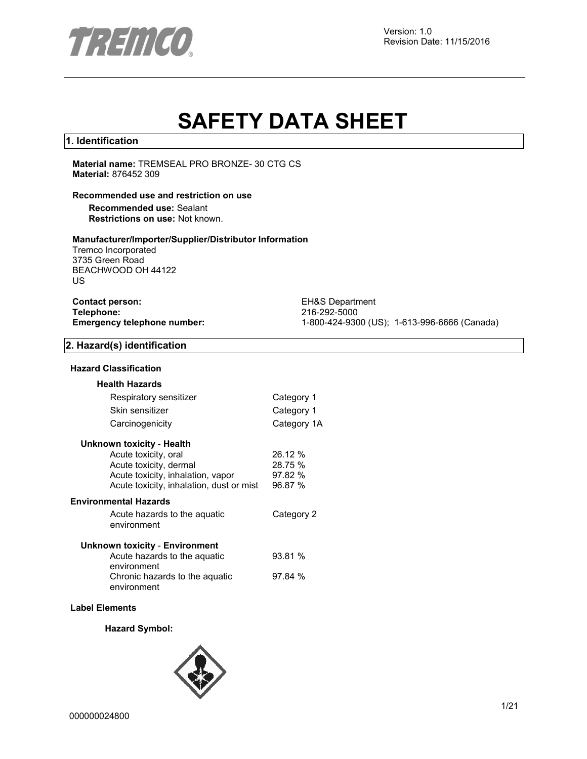

# **SAFETY DATA SHEET**

## **1. Identification**

**Material name:** TREMSEAL PRO BRONZE- 30 CTG CS **Material:** 876452 309

## **Recommended use and restriction on use**

**Recommended use:** Sealant **Restrictions on use:** Not known.

#### **Manufacturer/Importer/Supplier/Distributor Information**

Tremco Incorporated 3735 Green Road BEACHWOOD OH 44122 US

| <b>Contact person:</b>      |  |
|-----------------------------|--|
| Telephone:                  |  |
| Emergency telephone number: |  |

**EH&S Department Telephone:** 216-292-5000 **Emergency telephone number:** 1-800-424-9300 (US); 1-613-996-6666 (Canada)

## **2. Hazard(s) identification**

#### **Hazard Classification**

| <b>Health Hazards</b>                         |             |
|-----------------------------------------------|-------------|
| Respiratory sensitizer                        | Category 1  |
| Skin sensitizer                               | Category 1  |
| Carcinogenicity                               | Category 1A |
| Unknown toxicity - Health                     |             |
| Acute toxicity, oral                          | 26.12 %     |
| Acute toxicity, dermal                        | 28.75 %     |
| Acute toxicity, inhalation, vapor             | 97.82 %     |
| Acute toxicity, inhalation, dust or mist      | 96.87 %     |
| <b>Environmental Hazards</b>                  |             |
| Acute hazards to the aquatic<br>environment   | Category 2  |
| <b>Unknown toxicity - Environment</b>         |             |
| Acute hazards to the aquatic<br>environment   | 93.81 %     |
| Chronic hazards to the aquatic<br>environment | 97.84%      |
|                                               |             |

## **Label Elements**

#### **Hazard Symbol:**

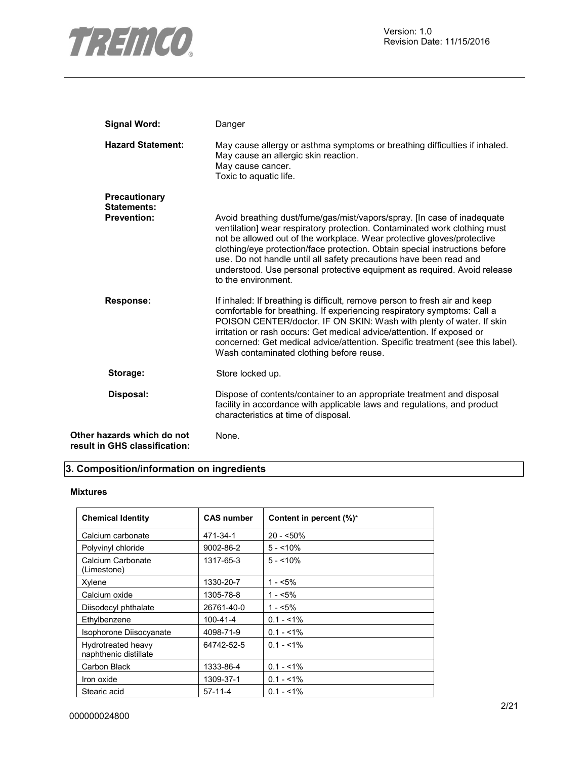

| <b>Signal Word:</b>                                         | Danger                                                                                                                                                                                                                                                                                                                                                                                                                                                                                 |
|-------------------------------------------------------------|----------------------------------------------------------------------------------------------------------------------------------------------------------------------------------------------------------------------------------------------------------------------------------------------------------------------------------------------------------------------------------------------------------------------------------------------------------------------------------------|
| <b>Hazard Statement:</b>                                    | May cause allergy or asthma symptoms or breathing difficulties if inhaled.<br>May cause an allergic skin reaction.<br>May cause cancer.<br>Toxic to aquatic life.                                                                                                                                                                                                                                                                                                                      |
| Precautionary<br>Statements:                                |                                                                                                                                                                                                                                                                                                                                                                                                                                                                                        |
| <b>Prevention:</b>                                          | Avoid breathing dust/fume/gas/mist/vapors/spray. [In case of inadequate<br>ventilation] wear respiratory protection. Contaminated work clothing must<br>not be allowed out of the workplace. Wear protective gloves/protective<br>clothing/eye protection/face protection. Obtain special instructions before<br>use. Do not handle until all safety precautions have been read and<br>understood. Use personal protective equipment as required. Avoid release<br>to the environment. |
| <b>Response:</b>                                            | If inhaled: If breathing is difficult, remove person to fresh air and keep<br>comfortable for breathing. If experiencing respiratory symptoms: Call a<br>POISON CENTER/doctor. IF ON SKIN: Wash with plenty of water. If skin<br>irritation or rash occurs: Get medical advice/attention. If exposed or<br>concerned: Get medical advice/attention. Specific treatment (see this label).<br>Wash contaminated clothing before reuse.                                                   |
| Storage:                                                    | Store locked up.                                                                                                                                                                                                                                                                                                                                                                                                                                                                       |
| Disposal:                                                   | Dispose of contents/container to an appropriate treatment and disposal<br>facility in accordance with applicable laws and regulations, and product<br>characteristics at time of disposal.                                                                                                                                                                                                                                                                                             |
| Other hazards which do not<br>result in GHS classification: | None.                                                                                                                                                                                                                                                                                                                                                                                                                                                                                  |

## **3. Composition/information on ingredients**

## **Mixtures**

| <b>Chemical Identity</b>                    | <b>CAS number</b> | Content in percent (%)* |
|---------------------------------------------|-------------------|-------------------------|
| Calcium carbonate                           | 471-34-1          | $20 - 50\%$             |
| Polyvinyl chloride                          | 9002-86-2         | $5 - 10\%$              |
| Calcium Carbonate<br>(Limestone)            | 1317-65-3         | $5 - 10\%$              |
| Xylene                                      | 1330-20-7         | $1 - 5\%$               |
| Calcium oxide                               | 1305-78-8         | 1 - <5%                 |
| Diisodecyl phthalate                        | 26761-40-0        | $1 - 5\%$               |
| Ethylbenzene                                | 100-41-4          | $0.1 - 1\%$             |
| Isophorone Diisocyanate                     | 4098-71-9         | $0.1 - 1\%$             |
| Hydrotreated heavy<br>naphthenic distillate | 64742-52-5        | $0.1 - 1\%$             |
| Carbon Black                                | 1333-86-4         | $0.1 - 1\%$             |
| Iron oxide                                  | 1309-37-1         | $0.1 - 1\%$             |
| Stearic acid                                | $57-11-4$         | $0.1 - 1\%$             |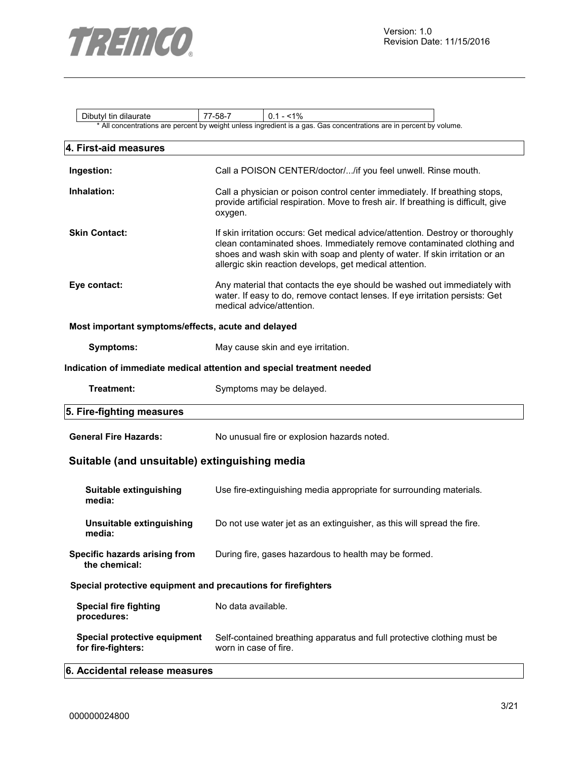

| Dibutyl tin dilaurate                                         | 77-58-7<br>$0.1 - 1\%$                                                                                                                                                                                                                                                                             |  |  |  |  |  |
|---------------------------------------------------------------|----------------------------------------------------------------------------------------------------------------------------------------------------------------------------------------------------------------------------------------------------------------------------------------------------|--|--|--|--|--|
|                                                               | * All concentrations are percent by weight unless ingredient is a gas. Gas concentrations are in percent by volume.                                                                                                                                                                                |  |  |  |  |  |
| 4. First-aid measures                                         |                                                                                                                                                                                                                                                                                                    |  |  |  |  |  |
| Ingestion:                                                    | Call a POISON CENTER/doctor//if you feel unwell. Rinse mouth.                                                                                                                                                                                                                                      |  |  |  |  |  |
| Inhalation:                                                   | Call a physician or poison control center immediately. If breathing stops,<br>provide artificial respiration. Move to fresh air. If breathing is difficult, give<br>oxygen.                                                                                                                        |  |  |  |  |  |
| <b>Skin Contact:</b>                                          | If skin irritation occurs: Get medical advice/attention. Destroy or thoroughly<br>clean contaminated shoes. Immediately remove contaminated clothing and<br>shoes and wash skin with soap and plenty of water. If skin irritation or an<br>allergic skin reaction develops, get medical attention. |  |  |  |  |  |
| Eye contact:                                                  | Any material that contacts the eye should be washed out immediately with<br>water. If easy to do, remove contact lenses. If eye irritation persists: Get<br>medical advice/attention.                                                                                                              |  |  |  |  |  |
| Most important symptoms/effects, acute and delayed            |                                                                                                                                                                                                                                                                                                    |  |  |  |  |  |
| <b>Symptoms:</b>                                              | May cause skin and eye irritation.                                                                                                                                                                                                                                                                 |  |  |  |  |  |
|                                                               | Indication of immediate medical attention and special treatment needed                                                                                                                                                                                                                             |  |  |  |  |  |
| Treatment:                                                    | Symptoms may be delayed.                                                                                                                                                                                                                                                                           |  |  |  |  |  |
| 5. Fire-fighting measures                                     |                                                                                                                                                                                                                                                                                                    |  |  |  |  |  |
| <b>General Fire Hazards:</b>                                  | No unusual fire or explosion hazards noted.                                                                                                                                                                                                                                                        |  |  |  |  |  |
| Suitable (and unsuitable) extinguishing media                 |                                                                                                                                                                                                                                                                                                    |  |  |  |  |  |
| Suitable extinguishing<br>media:                              | Use fire-extinguishing media appropriate for surrounding materials.                                                                                                                                                                                                                                |  |  |  |  |  |
| Unsuitable extinguishing<br>megia:                            | Do not use water jet as an extinguisher, as this will spread the fire.                                                                                                                                                                                                                             |  |  |  |  |  |
| Specific hazards arising from<br>the chemical:                | During fire, gases hazardous to health may be formed.                                                                                                                                                                                                                                              |  |  |  |  |  |
| Special protective equipment and precautions for firefighters |                                                                                                                                                                                                                                                                                                    |  |  |  |  |  |
| <b>Special fire fighting</b><br>procedures:                   | No data available.                                                                                                                                                                                                                                                                                 |  |  |  |  |  |
| Special protective equipment<br>for fire-fighters:            | Self-contained breathing apparatus and full protective clothing must be<br>worn in case of fire.                                                                                                                                                                                                   |  |  |  |  |  |
| 6. Accidental release measures                                |                                                                                                                                                                                                                                                                                                    |  |  |  |  |  |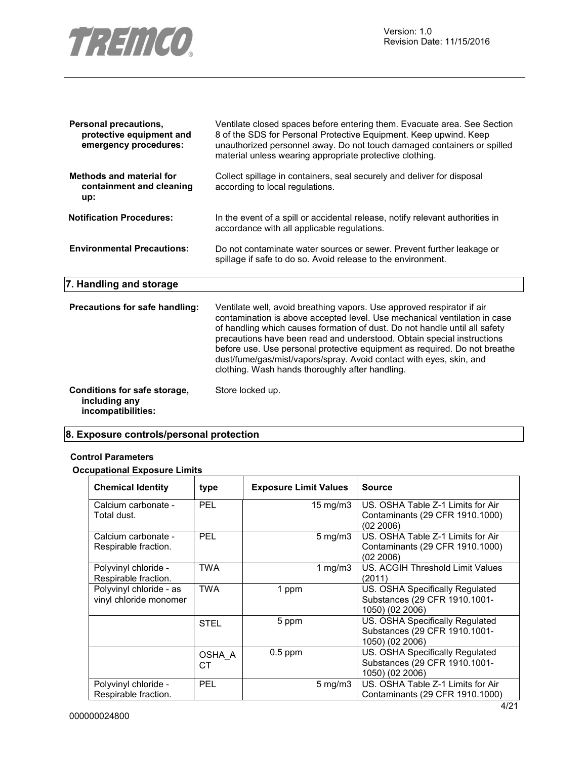

| <b>Personal precautions,</b><br>protective equipment and<br>emergency procedures: | Ventilate closed spaces before entering them. Evacuate area. See Section<br>8 of the SDS for Personal Protective Equipment. Keep upwind. Keep<br>unauthorized personnel away. Do not touch damaged containers or spilled<br>material unless wearing appropriate protective clothing.                                                                                                                                                                                                                               |
|-----------------------------------------------------------------------------------|--------------------------------------------------------------------------------------------------------------------------------------------------------------------------------------------------------------------------------------------------------------------------------------------------------------------------------------------------------------------------------------------------------------------------------------------------------------------------------------------------------------------|
| <b>Methods and material for</b><br>containment and cleaning<br>up:                | Collect spillage in containers, seal securely and deliver for disposal<br>according to local regulations.                                                                                                                                                                                                                                                                                                                                                                                                          |
| <b>Notification Procedures:</b>                                                   | In the event of a spill or accidental release, notify relevant authorities in<br>accordance with all applicable regulations.                                                                                                                                                                                                                                                                                                                                                                                       |
| <b>Environmental Precautions:</b>                                                 | Do not contaminate water sources or sewer. Prevent further leakage or<br>spillage if safe to do so. Avoid release to the environment.                                                                                                                                                                                                                                                                                                                                                                              |
| 7. Handling and storage                                                           |                                                                                                                                                                                                                                                                                                                                                                                                                                                                                                                    |
| Precautions for safe handling:                                                    | Ventilate well, avoid breathing vapors. Use approved respirator if air<br>contamination is above accepted level. Use mechanical ventilation in case<br>of handling which causes formation of dust. Do not handle until all safety<br>precautions have been read and understood. Obtain special instructions<br>before use. Use personal protective equipment as required. Do not breathe<br>dust/fume/gas/mist/vapors/spray. Avoid contact with eyes, skin, and<br>clothing. Wash hands thoroughly after handling. |
| Conditions for safe storage,<br>including any<br>incompatibilities:               | Store locked up.                                                                                                                                                                                                                                                                                                                                                                                                                                                                                                   |

## **8. Exposure controls/personal protection**

## **Control Parameters**

## **Occupational Exposure Limits**

| <b>Chemical Identity</b>                          | type         | <b>Exposure Limit Values</b> |                    | <b>Source</b>                                                                       |
|---------------------------------------------------|--------------|------------------------------|--------------------|-------------------------------------------------------------------------------------|
| Calcium carbonate -<br>Total dust.                | <b>PEL</b>   |                              | $15 \text{ mg/m}$  | US. OSHA Table Z-1 Limits for Air<br>Contaminants (29 CFR 1910.1000)<br>(02 2006)   |
| Calcium carbonate -<br>Respirable fraction.       | <b>PEL</b>   |                              | $5 \text{ mg/m}$ 3 | US. OSHA Table Z-1 Limits for Air<br>Contaminants (29 CFR 1910.1000)<br>(02 2006)   |
| Polyvinyl chloride -<br>Respirable fraction.      | TWA          |                              | 1 mg/m $3$         | US. ACGIH Threshold Limit Values<br>(2011)                                          |
| Polyvinyl chloride - as<br>vinyl chloride monomer | <b>TWA</b>   | 1 ppm                        |                    | US. OSHA Specifically Regulated<br>Substances (29 CFR 1910.1001-<br>1050) (02 2006) |
|                                                   | <b>STEL</b>  | 5 ppm                        |                    | US. OSHA Specifically Regulated<br>Substances (29 CFR 1910.1001-<br>1050) (02 2006) |
|                                                   | OSHA A<br>CТ | $0.5$ ppm                    |                    | US. OSHA Specifically Regulated<br>Substances (29 CFR 1910.1001-<br>1050) (02 2006) |
| Polyvinyl chloride -<br>Respirable fraction.      | <b>PEL</b>   |                              | $5 \text{ mg/m}$   | US. OSHA Table Z-1 Limits for Air<br>Contaminants (29 CFR 1910.1000)                |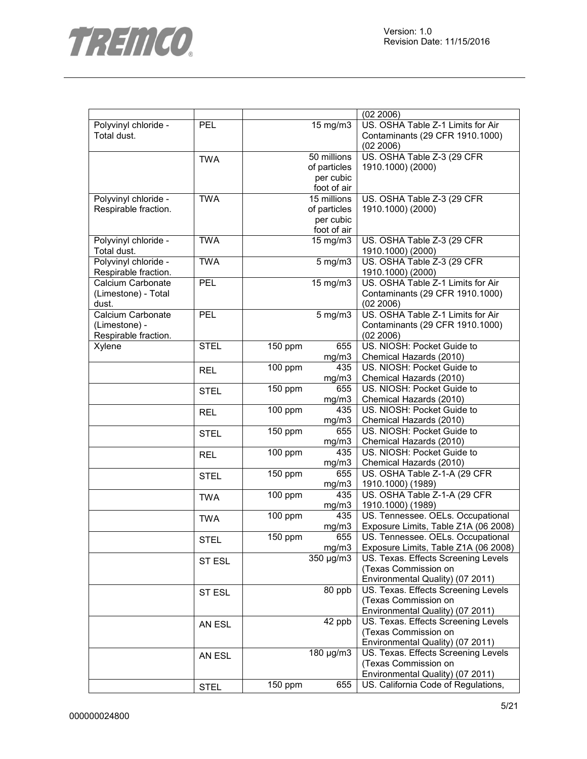

|                      |             |                      |              | (02 2006)                            |
|----------------------|-------------|----------------------|--------------|--------------------------------------|
| Polyvinyl chloride - | PEL         |                      | 15 mg/m3     | US. OSHA Table Z-1 Limits for Air    |
| Total dust.          |             |                      |              | Contaminants (29 CFR 1910.1000)      |
|                      |             |                      |              | (02 2006)                            |
|                      | <b>TWA</b>  | 50 millions          |              | US. OSHA Table Z-3 (29 CFR           |
|                      |             |                      | of particles | 1910.1000) (2000)                    |
|                      |             |                      | per cubic    |                                      |
|                      |             |                      | foot of air  |                                      |
| Polyvinyl chloride - | <b>TWA</b>  |                      | 15 millions  | US. OSHA Table Z-3 (29 CFR           |
| Respirable fraction. |             |                      | of particles | 1910.1000) (2000)                    |
|                      |             |                      |              |                                      |
|                      |             |                      | per cubic    |                                      |
|                      |             |                      | foot of air  |                                      |
| Polyvinyl chloride - | <b>TWA</b>  |                      | 15 mg/m3     | US. OSHA Table Z-3 (29 CFR           |
| Total dust.          |             |                      |              | 1910.1000) (2000)                    |
| Polyvinyl chloride - | <b>TWA</b>  |                      | $5$ mg/m $3$ | US. OSHA Table Z-3 (29 CFR           |
| Respirable fraction. |             |                      |              | 1910.1000) (2000)                    |
| Calcium Carbonate    | PEL         |                      | 15 mg/m3     | US. OSHA Table Z-1 Limits for Air    |
| (Limestone) - Total  |             |                      |              | Contaminants (29 CFR 1910.1000)      |
| dust.                |             |                      |              | (02 2006)                            |
| Calcium Carbonate    | <b>PEL</b>  |                      | $5$ mg/m $3$ | US. OSHA Table Z-1 Limits for Air    |
| (Limestone) -        |             |                      |              | Contaminants (29 CFR 1910.1000)      |
| Respirable fraction. |             |                      |              | (02 2006)                            |
| Xylene               | <b>STEL</b> | 150 ppm              | 655          | US. NIOSH: Pocket Guide to           |
|                      |             |                      | mg/m3        | Chemical Hazards (2010)              |
|                      | <b>REL</b>  | 100 ppm              | 435          | US. NIOSH: Pocket Guide to           |
|                      |             |                      | mg/m3        | Chemical Hazards (2010)              |
|                      |             | 150 ppm              | 655          | US. NIOSH: Pocket Guide to           |
|                      | <b>STEL</b> |                      | mg/m3        | Chemical Hazards (2010)              |
|                      |             | $100$ ppm            | 435          | US. NIOSH: Pocket Guide to           |
|                      | <b>REL</b>  |                      | mg/m3        | Chemical Hazards (2010)              |
|                      |             |                      | 655          | US. NIOSH: Pocket Guide to           |
|                      | <b>STEL</b> | 150 ppm              |              |                                      |
|                      |             |                      | mg/m3        | Chemical Hazards (2010)              |
|                      | <b>REL</b>  | 100 ppm              | 435          | US. NIOSH: Pocket Guide to           |
|                      |             |                      | mg/m3        | Chemical Hazards (2010)              |
|                      | <b>STEL</b> | 150 ppm              | 655          | US. OSHA Table Z-1-A (29 CFR         |
|                      |             |                      | mg/m3        | 1910.1000) (1989)                    |
|                      | <b>TWA</b>  | 100 ppm              | 435          | US. OSHA Table Z-1-A (29 CFR         |
|                      |             |                      | mg/m3        | 1910.1000) (1989)                    |
|                      | <b>TWA</b>  | 100 ppm              | 435          | US. Tennessee. OELs. Occupational    |
|                      |             |                      | mg/m3        | Exposure Limits, Table Z1A (06 2008) |
|                      | <b>STEL</b> | $\overline{1}50$ ppm | 655          | US. Tennessee. OELs. Occupational    |
|                      |             |                      | mg/m3        | Exposure Limits, Table Z1A (06 2008) |
|                      | ST ESL      |                      | 350 µg/m3    | US. Texas. Effects Screening Levels  |
|                      |             |                      |              | (Texas Commission on                 |
|                      |             |                      |              | Environmental Quality) (07 2011)     |
|                      | ST ESL      |                      | 80 ppb       | US. Texas. Effects Screening Levels  |
|                      |             |                      |              | (Texas Commission on                 |
|                      |             |                      |              | Environmental Quality) (07 2011)     |
|                      |             |                      | 42 ppb       | US. Texas. Effects Screening Levels  |
|                      | AN ESL      |                      |              | (Texas Commission on                 |
|                      |             |                      |              | Environmental Quality) (07 2011)     |
|                      |             |                      | 180 µg/m3    | US. Texas. Effects Screening Levels  |
|                      | AN ESL      |                      |              |                                      |
|                      |             |                      |              | (Texas Commission on                 |
|                      |             |                      |              | Environmental Quality) (07 2011)     |
|                      | <b>STEL</b> | 150 ppm              | 655          | US. California Code of Regulations,  |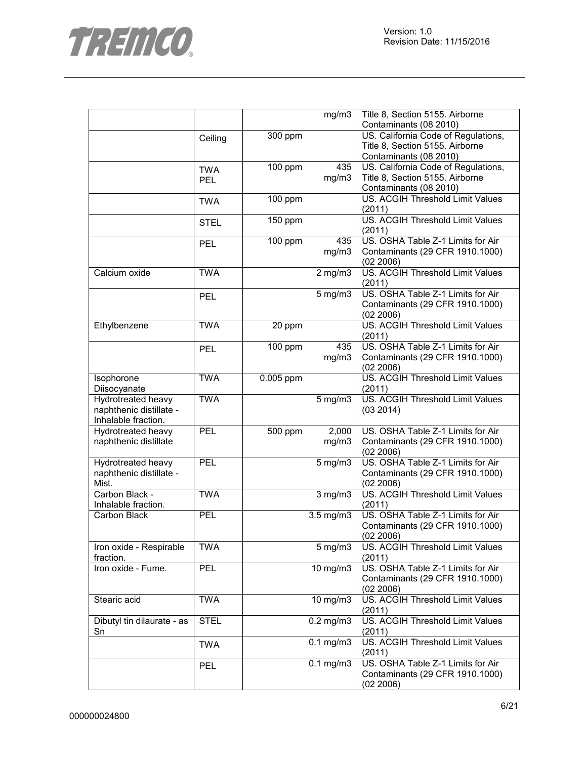

|                            |             |           | mg/m3          | Title 8, Section 5155. Airborne         |
|----------------------------|-------------|-----------|----------------|-----------------------------------------|
|                            |             |           |                | Contaminants (08 2010)                  |
|                            | Ceiling     | 300 ppm   |                | US. California Code of Regulations,     |
|                            |             |           |                | Title 8, Section 5155. Airborne         |
|                            |             |           |                | Contaminants (08 2010)                  |
|                            | <b>TWA</b>  | 100 ppm   | 435            | US. California Code of Regulations,     |
|                            | <b>PEL</b>  |           | mg/m3          | Title 8, Section 5155. Airborne         |
|                            |             |           |                | Contaminants (08 2010)                  |
|                            |             | 100 ppm   |                | US. ACGIH Threshold Limit Values        |
|                            | <b>TWA</b>  |           |                | (2011)                                  |
|                            |             | 150 ppm   |                | US. ACGIH Threshold Limit Values        |
|                            | <b>STEL</b> |           |                | (2011)                                  |
|                            |             | 100 ppm   | 435            | US. OSHA Table Z-1 Limits for Air       |
|                            | PEL         |           | mg/m3          | Contaminants (29 CFR 1910.1000)         |
|                            |             |           |                | (02 2006)                               |
| Calcium oxide              | <b>TWA</b>  |           |                | US. ACGIH Threshold Limit Values        |
|                            |             |           | $2$ mg/m $3$   | (2011)                                  |
|                            |             |           |                | US. OSHA Table Z-1 Limits for Air       |
|                            | <b>PEL</b>  |           | $5$ mg/m $3$   |                                         |
|                            |             |           |                | Contaminants (29 CFR 1910.1000)         |
|                            |             |           |                | (02 2006)                               |
| Ethylbenzene               | <b>TWA</b>  | 20 ppm    |                | US. ACGIH Threshold Limit Values        |
|                            |             |           |                | (2011)                                  |
|                            | <b>PEL</b>  | 100 ppm   | 435            | US. OSHA Table Z-1 Limits for Air       |
|                            |             |           | mg/m3          | Contaminants (29 CFR 1910.1000)         |
|                            |             |           |                | (02 2006)                               |
| Isophorone                 | <b>TWA</b>  | 0.005 ppm |                | <b>US. ACGIH Threshold Limit Values</b> |
| Diisocyanate               |             |           |                | (2011)                                  |
| Hydrotreated heavy         | <b>TWA</b>  |           | $5$ mg/m $3$   | US. ACGIH Threshold Limit Values        |
| naphthenic distillate -    |             |           |                | (03 2014)                               |
| Inhalable fraction.        |             |           |                |                                         |
| Hydrotreated heavy         | PEL         | 500 ppm   | 2,000          | US. OSHA Table Z-1 Limits for Air       |
| naphthenic distillate      |             |           | mg/m3          | Contaminants (29 CFR 1910.1000)         |
|                            |             |           |                | (02 2006)                               |
| Hydrotreated heavy         | <b>PEL</b>  |           | $5$ mg/m $3$   | US. OSHA Table Z-1 Limits for Air       |
| naphthenic distillate -    |             |           |                | Contaminants (29 CFR 1910.1000)         |
| Mist.                      |             |           |                | (02 2006)                               |
| Carbon Black -             | <b>TWA</b>  |           | $3$ mg/m $3$   | US. ACGIH Threshold Limit Values        |
| Inhalable fraction.        |             |           |                | (2011)                                  |
| Carbon Black               | <b>PEL</b>  |           | 3.5 mg/m3      | US. OSHA Table Z-1 Limits for Air       |
|                            |             |           |                | Contaminants (29 CFR 1910.1000)         |
|                            |             |           |                | (02, 2006)                              |
| Iron oxide - Respirable    | <b>TWA</b>  |           | $5$ mg/m $3$   | US. ACGIH Threshold Limit Values        |
| fraction.                  |             |           |                | (2011)                                  |
| Iron oxide - Fume.         | PEL         |           | $10$ mg/m $3$  | US. OSHA Table Z-1 Limits for Air       |
|                            |             |           |                | Contaminants (29 CFR 1910.1000)         |
|                            |             |           |                | (02 2006)                               |
| Stearic acid               | <b>TWA</b>  |           | 10 mg/m3       | US. ACGIH Threshold Limit Values        |
|                            |             |           |                | (2011)                                  |
| Dibutyl tin dilaurate - as | <b>STEL</b> |           | $0.2$ mg/m $3$ | US. ACGIH Threshold Limit Values        |
| Sn                         |             |           |                | (2011)                                  |
|                            |             |           | $0.1$ mg/m $3$ | US. ACGIH Threshold Limit Values        |
|                            | <b>TWA</b>  |           |                | (2011)                                  |
|                            |             |           | $0.1$ mg/m $3$ | US. OSHA Table Z-1 Limits for Air       |
|                            | <b>PEL</b>  |           |                | Contaminants (29 CFR 1910.1000)         |
|                            |             |           |                | (02 2006)                               |
|                            |             |           |                |                                         |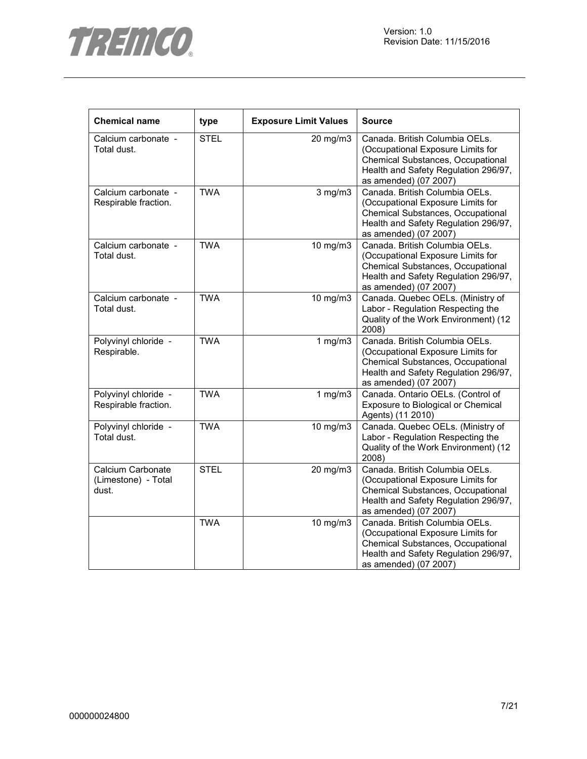



| <b>Chemical name</b>                              | type        | <b>Exposure Limit Values</b> | <b>Source</b>                                                                                                                                                             |
|---------------------------------------------------|-------------|------------------------------|---------------------------------------------------------------------------------------------------------------------------------------------------------------------------|
| Calcium carbonate -<br>Total dust.                | <b>STEL</b> | 20 mg/m3                     | Canada. British Columbia OELs.<br>(Occupational Exposure Limits for<br>Chemical Substances, Occupational<br>Health and Safety Regulation 296/97,<br>as amended) (07 2007) |
| Calcium carbonate -<br>Respirable fraction.       | <b>TWA</b>  | $3$ mg/m $3$                 | Canada. British Columbia OELs.<br>(Occupational Exposure Limits for<br>Chemical Substances, Occupational<br>Health and Safety Regulation 296/97,<br>as amended) (07 2007) |
| Calcium carbonate -<br>Total dust.                | <b>TWA</b>  | 10 mg/m3                     | Canada. British Columbia OELs.<br>(Occupational Exposure Limits for<br>Chemical Substances, Occupational<br>Health and Safety Regulation 296/97,<br>as amended) (07 2007) |
| Calcium carbonate -<br>Total dust.                | <b>TWA</b>  | 10 mg/m3                     | Canada. Quebec OELs. (Ministry of<br>Labor - Regulation Respecting the<br>Quality of the Work Environment) (12<br>2008)                                                   |
| Polyvinyl chloride -<br>Respirable.               | <b>TWA</b>  | 1 $mg/m3$                    | Canada. British Columbia OELs.<br>(Occupational Exposure Limits for<br>Chemical Substances, Occupational<br>Health and Safety Regulation 296/97,<br>as amended) (07 2007) |
| Polyvinyl chloride -<br>Respirable fraction.      | <b>TWA</b>  | 1 $mg/m3$                    | Canada. Ontario OELs. (Control of<br>Exposure to Biological or Chemical<br>Agents) (11 2010)                                                                              |
| Polyvinyl chloride -<br>Total dust.               | <b>TWA</b>  | 10 mg/m3                     | Canada. Quebec OELs. (Ministry of<br>Labor - Regulation Respecting the<br>Quality of the Work Environment) (12<br>2008)                                                   |
| Calcium Carbonate<br>(Limestone) - Total<br>dust. | <b>STEL</b> | 20 mg/m3                     | Canada. British Columbia OELs.<br>(Occupational Exposure Limits for<br>Chemical Substances, Occupational<br>Health and Safety Regulation 296/97,<br>as amended) (07 2007) |
|                                                   | <b>TWA</b>  | 10 mg/m3                     | Canada. British Columbia OELs.<br>(Occupational Exposure Limits for<br>Chemical Substances, Occupational<br>Health and Safety Regulation 296/97,<br>as amended) (07 2007) |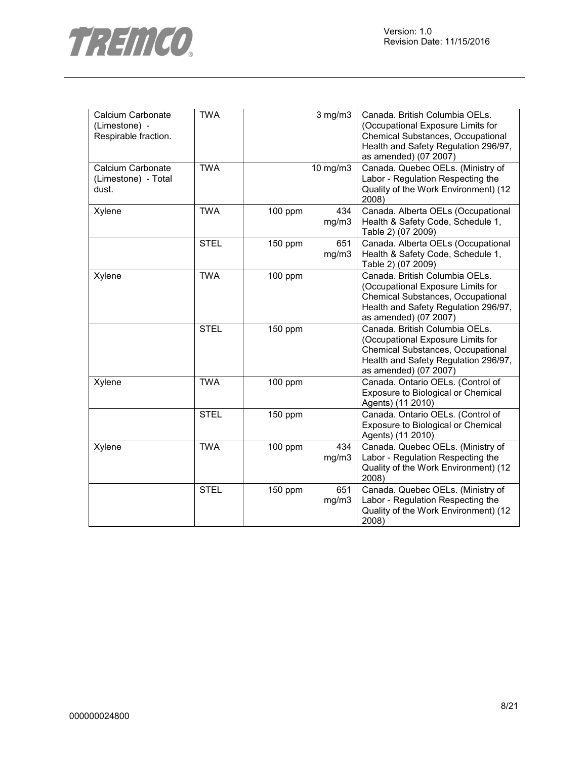

| Calcium Carbonate<br>(Limestone) -<br>Respirable fraction. | <b>TWA</b>  |           | $3$ mg/m $3$ | Canada. British Columbia OELs.<br>(Occupational Exposure Limits for<br>Chemical Substances, Occupational<br>Health and Safety Regulation 296/97,<br>as amended) (07 2007) |
|------------------------------------------------------------|-------------|-----------|--------------|---------------------------------------------------------------------------------------------------------------------------------------------------------------------------|
| Calcium Carbonate<br>(Limestone) - Total<br>dust.          | <b>TWA</b>  |           | 10 mg/m3     | Canada. Quebec OELs. (Ministry of<br>Labor - Regulation Respecting the<br>Quality of the Work Environment) (12<br>2008)                                                   |
| Xylene                                                     | <b>TWA</b>  | 100 ppm   | 434<br>mg/m3 | Canada. Alberta OELs (Occupational<br>Health & Safety Code, Schedule 1,<br>Table 2) (07 2009)                                                                             |
|                                                            | <b>STEL</b> | 150 ppm   | 651<br>mg/m3 | Canada. Alberta OELs (Occupational<br>Health & Safety Code, Schedule 1,<br>Table 2) (07 2009)                                                                             |
| Xylene                                                     | <b>TWA</b>  | 100 ppm   |              | Canada. British Columbia OELs.<br>(Occupational Exposure Limits for<br>Chemical Substances, Occupational<br>Health and Safety Regulation 296/97,<br>as amended) (07 2007) |
|                                                            | <b>STEL</b> | 150 ppm   |              | Canada. British Columbia OELs.<br>(Occupational Exposure Limits for<br>Chemical Substances, Occupational<br>Health and Safety Regulation 296/97,<br>as amended) (07 2007) |
| Xylene                                                     | <b>TWA</b>  | 100 ppm   |              | Canada. Ontario OELs. (Control of<br>Exposure to Biological or Chemical<br>Agents) (11 2010)                                                                              |
|                                                            | <b>STEL</b> | 150 ppm   |              | Canada. Ontario OELs. (Control of<br>Exposure to Biological or Chemical<br>Agents) (11 2010)                                                                              |
| Xylene                                                     | <b>TWA</b>  | $100$ ppm | 434<br>mg/m3 | Canada. Quebec OELs. (Ministry of<br>Labor - Regulation Respecting the<br>Quality of the Work Environment) (12<br>2008)                                                   |
|                                                            | <b>STEL</b> | 150 ppm   | 651<br>mg/m3 | Canada. Quebec OELs. (Ministry of<br>Labor - Regulation Respecting the<br>Quality of the Work Environment) (12<br>2008)                                                   |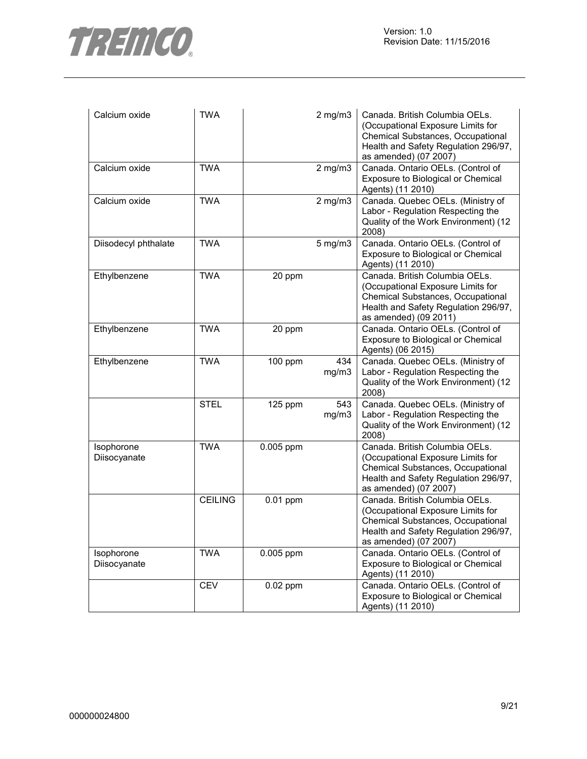

| Calcium oxide              | <b>TWA</b>     |             | $2$ mg/m $3$ | Canada. British Columbia OELs.<br>(Occupational Exposure Limits for<br>Chemical Substances, Occupational<br>Health and Safety Regulation 296/97,<br>as amended) (07 2007) |
|----------------------------|----------------|-------------|--------------|---------------------------------------------------------------------------------------------------------------------------------------------------------------------------|
| Calcium oxide              | <b>TWA</b>     |             | $2$ mg/m $3$ | Canada. Ontario OELs. (Control of<br>Exposure to Biological or Chemical<br>Agents) (11 2010)                                                                              |
| Calcium oxide              | <b>TWA</b>     |             | $2$ mg/m $3$ | Canada. Quebec OELs. (Ministry of<br>Labor - Regulation Respecting the<br>Quality of the Work Environment) (12<br>2008)                                                   |
| Diisodecyl phthalate       | <b>TWA</b>     |             | $5$ mg/m $3$ | Canada. Ontario OELs. (Control of<br>Exposure to Biological or Chemical<br>Agents) (11 2010)                                                                              |
| Ethylbenzene               | <b>TWA</b>     | 20 ppm      |              | Canada. British Columbia OELs.<br>(Occupational Exposure Limits for<br>Chemical Substances, Occupational<br>Health and Safety Regulation 296/97,<br>as amended) (09 2011) |
| Ethylbenzene               | <b>TWA</b>     | 20 ppm      |              | Canada. Ontario OELs. (Control of<br>Exposure to Biological or Chemical<br>Agents) (06 2015)                                                                              |
| Ethylbenzene               | <b>TWA</b>     | 100 ppm     | 434<br>mg/m3 | Canada. Quebec OELs. (Ministry of<br>Labor - Regulation Respecting the<br>Quality of the Work Environment) (12<br>2008)                                                   |
|                            | <b>STEL</b>    | 125 ppm     | 543<br>mg/m3 | Canada. Quebec OELs. (Ministry of<br>Labor - Regulation Respecting the<br>Quality of the Work Environment) (12<br>2008)                                                   |
| Isophorone<br>Diisocyanate | <b>TWA</b>     | 0.005 ppm   |              | Canada. British Columbia OELs.<br>(Occupational Exposure Limits for<br>Chemical Substances, Occupational<br>Health and Safety Regulation 296/97,<br>as amended) (07 2007) |
|                            | <b>CEILING</b> | $0.01$ ppm  |              | Canada. British Columbia OELs.<br>(Occupational Exposure Limits for<br>Chemical Substances, Occupational<br>Health and Safety Regulation 296/97,<br>as amended) (07 2007) |
| Isophorone<br>Diisocyanate | <b>TWA</b>     | $0.005$ ppm |              | Canada. Ontario OELs. (Control of<br>Exposure to Biological or Chemical<br>Agents) (11 2010)                                                                              |
|                            | <b>CEV</b>     | $0.02$ ppm  |              | Canada. Ontario OELs. (Control of<br>Exposure to Biological or Chemical<br>Agents) (11 2010)                                                                              |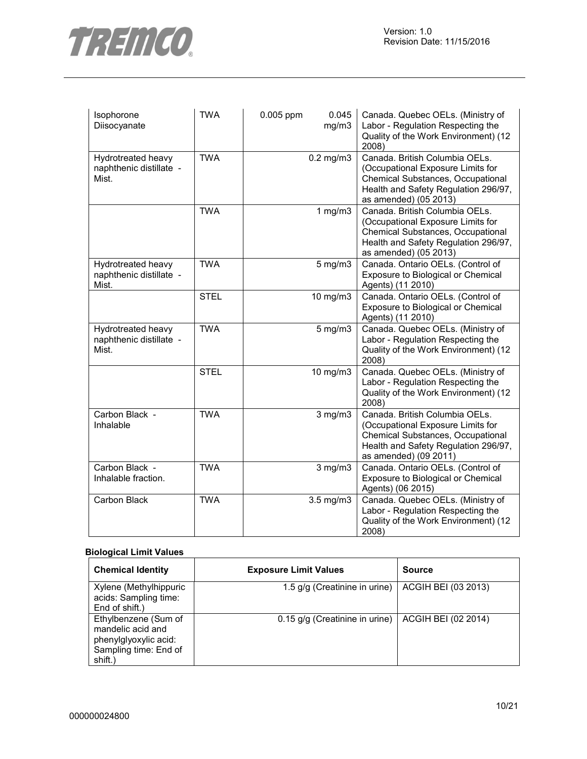

| Isophorone<br>Diisocyanate                             | <b>TWA</b>  | 0.005 ppm | 0.045<br>mg/m3 | Canada. Quebec OELs. (Ministry of<br>Labor - Regulation Respecting the<br>Quality of the Work Environment) (12<br>2008)                                                   |
|--------------------------------------------------------|-------------|-----------|----------------|---------------------------------------------------------------------------------------------------------------------------------------------------------------------------|
| Hydrotreated heavy<br>naphthenic distillate -<br>Mist. | <b>TWA</b>  |           | $0.2$ mg/m $3$ | Canada. British Columbia OELs.<br>(Occupational Exposure Limits for<br>Chemical Substances, Occupational<br>Health and Safety Regulation 296/97,<br>as amended) (05 2013) |
|                                                        | <b>TWA</b>  |           | 1 $mg/m3$      | Canada. British Columbia OELs.<br>(Occupational Exposure Limits for<br>Chemical Substances, Occupational<br>Health and Safety Regulation 296/97,<br>as amended) (05 2013) |
| Hydrotreated heavy<br>naphthenic distillate -<br>Mist. | <b>TWA</b>  |           | $5$ mg/m $3$   | Canada. Ontario OELs. (Control of<br>Exposure to Biological or Chemical<br>Agents) (11 2010)                                                                              |
|                                                        | <b>STEL</b> |           | 10 mg/m3       | Canada. Ontario OELs. (Control of<br>Exposure to Biological or Chemical<br>Agents) (11 2010)                                                                              |
| Hydrotreated heavy<br>naphthenic distillate -<br>Mist. | <b>TWA</b>  |           | $5$ mg/m $3$   | Canada. Quebec OELs. (Ministry of<br>Labor - Regulation Respecting the<br>Quality of the Work Environment) (12<br>2008)                                                   |
|                                                        | <b>STEL</b> |           | 10 mg/m3       | Canada. Quebec OELs. (Ministry of<br>Labor - Regulation Respecting the<br>Quality of the Work Environment) (12<br>2008)                                                   |
| Carbon Black -<br>Inhalable                            | <b>TWA</b>  |           | $3$ mg/m $3$   | Canada. British Columbia OELs.<br>(Occupational Exposure Limits for<br>Chemical Substances, Occupational<br>Health and Safety Regulation 296/97,<br>as amended) (09 2011) |
| Carbon Black -<br>Inhalable fraction.                  | <b>TWA</b>  |           | $3$ mg/m $3$   | Canada. Ontario OELs. (Control of<br>Exposure to Biological or Chemical<br>Agents) (06 2015)                                                                              |
| Carbon Black                                           | <b>TWA</b>  |           | $3.5$ mg/m $3$ | Canada. Quebec OELs. (Ministry of<br>Labor - Regulation Respecting the<br>Quality of the Work Environment) (12<br>2008)                                                   |

## **Biological Limit Values**

| <b>Chemical Identity</b>                                                                               | <b>Exposure Limit Values</b>   | <b>Source</b>       |
|--------------------------------------------------------------------------------------------------------|--------------------------------|---------------------|
| Xylene (Methylhippuric<br>acids: Sampling time:<br>End of shift.)                                      | 1.5 g/g (Creatinine in urine)  | ACGIH BEI (03 2013) |
| Ethylbenzene (Sum of<br>mandelic acid and<br>phenylglyoxylic acid:<br>Sampling time: End of<br>shift.) | 0.15 g/g (Creatinine in urine) | ACGIH BEI (02 2014) |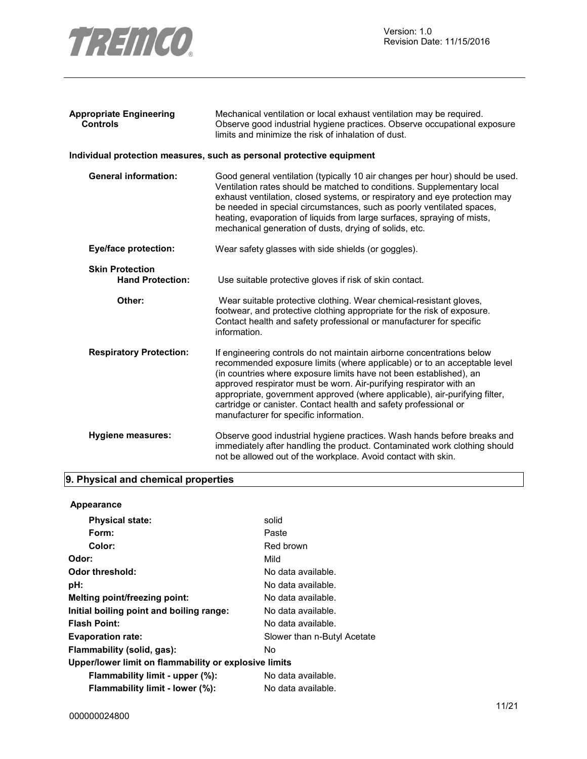

| <b>Appropriate Engineering</b><br><b>Controls</b> | Mechanical ventilation or local exhaust ventilation may be required.<br>Observe good industrial hygiene practices. Observe occupational exposure<br>limits and minimize the risk of inhalation of dust.                                                                                                                                                                                                                                                                                   |
|---------------------------------------------------|-------------------------------------------------------------------------------------------------------------------------------------------------------------------------------------------------------------------------------------------------------------------------------------------------------------------------------------------------------------------------------------------------------------------------------------------------------------------------------------------|
|                                                   | Individual protection measures, such as personal protective equipment                                                                                                                                                                                                                                                                                                                                                                                                                     |
| <b>General information:</b>                       | Good general ventilation (typically 10 air changes per hour) should be used.<br>Ventilation rates should be matched to conditions. Supplementary local<br>exhaust ventilation, closed systems, or respiratory and eye protection may<br>be needed in special circumstances, such as poorly ventilated spaces,<br>heating, evaporation of liquids from large surfaces, spraying of mists,<br>mechanical generation of dusts, drying of solids, etc.                                        |
| <b>Eye/face protection:</b>                       | Wear safety glasses with side shields (or goggles).                                                                                                                                                                                                                                                                                                                                                                                                                                       |
| <b>Skin Protection</b><br><b>Hand Protection:</b> | Use suitable protective gloves if risk of skin contact.                                                                                                                                                                                                                                                                                                                                                                                                                                   |
| Other:                                            | Wear suitable protective clothing. Wear chemical-resistant gloves,<br>footwear, and protective clothing appropriate for the risk of exposure.<br>Contact health and safety professional or manufacturer for specific<br>information.                                                                                                                                                                                                                                                      |
| <b>Respiratory Protection:</b>                    | If engineering controls do not maintain airborne concentrations below<br>recommended exposure limits (where applicable) or to an acceptable level<br>(in countries where exposure limits have not been established), an<br>approved respirator must be worn. Air-purifying respirator with an<br>appropriate, government approved (where applicable), air-purifying filter,<br>cartridge or canister. Contact health and safety professional or<br>manufacturer for specific information. |
| Hygiene measures:                                 | Observe good industrial hygiene practices. Wash hands before breaks and<br>immediately after handling the product. Contaminated work clothing should<br>not be allowed out of the workplace. Avoid contact with skin.                                                                                                                                                                                                                                                                     |
|                                                   |                                                                                                                                                                                                                                                                                                                                                                                                                                                                                           |

## **9. Physical and chemical properties**

| <b>Appearance</b>                                     |                             |  |
|-------------------------------------------------------|-----------------------------|--|
| <b>Physical state:</b>                                | solid                       |  |
| Form:                                                 | Paste                       |  |
| Color:                                                | Red brown                   |  |
| Odor:                                                 | Mild                        |  |
| Odor threshold:                                       | No data available.          |  |
| pH:                                                   | No data available.          |  |
| Melting point/freezing point:                         | No data available.          |  |
| Initial boiling point and boiling range:              | No data available.          |  |
| <b>Flash Point:</b>                                   | No data available.          |  |
| <b>Evaporation rate:</b>                              | Slower than n-Butyl Acetate |  |
| Flammability (solid, gas):                            | No                          |  |
| Upper/lower limit on flammability or explosive limits |                             |  |
| Flammability limit - upper (%):                       | No data available.          |  |
| Flammability limit - lower (%):                       | No data available.          |  |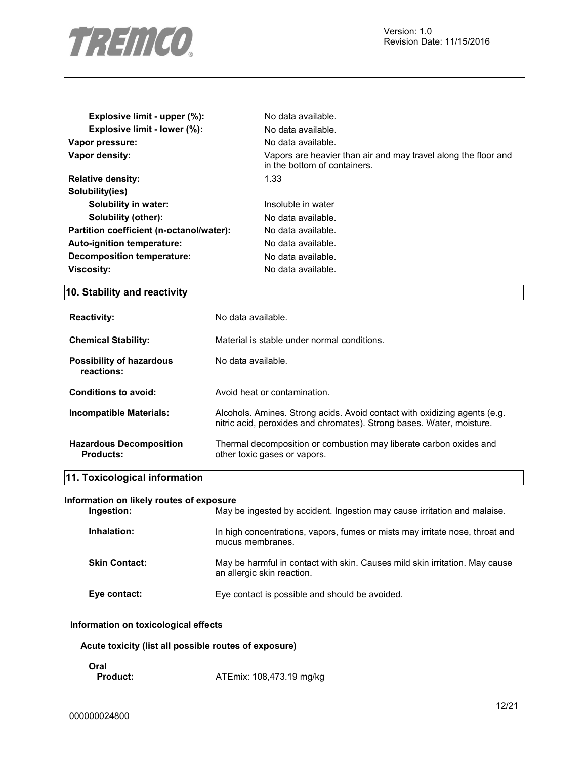

| Explosive limit - upper (%):             | No data available.                                                                             |
|------------------------------------------|------------------------------------------------------------------------------------------------|
| Explosive limit - lower (%):             | No data available.                                                                             |
| Vapor pressure:                          | No data available.                                                                             |
| Vapor density:                           | Vapors are heavier than air and may travel along the floor and<br>in the bottom of containers. |
| <b>Relative density:</b>                 | 1.33                                                                                           |
| Solubility(ies)                          |                                                                                                |
| Solubility in water:                     | Insoluble in water                                                                             |
| Solubility (other):                      | No data available.                                                                             |
| Partition coefficient (n-octanol/water): | No data available.                                                                             |
| <b>Auto-ignition temperature:</b>        | No data available.                                                                             |
| Decomposition temperature:               | No data available.                                                                             |
| <b>Viscosity:</b>                        | No data available.                                                                             |

## **10. Stability and reactivity**

| <b>Reactivity:</b>                          | No data available.                                                                                                                                 |
|---------------------------------------------|----------------------------------------------------------------------------------------------------------------------------------------------------|
| <b>Chemical Stability:</b>                  | Material is stable under normal conditions.                                                                                                        |
| Possibility of hazardous<br>reactions:      | No data available.                                                                                                                                 |
| Conditions to avoid:                        | Avoid heat or contamination.                                                                                                                       |
| Incompatible Materials:                     | Alcohols. Amines. Strong acids. Avoid contact with oxidizing agents (e.g.<br>nitric acid, peroxides and chromates). Strong bases. Water, moisture. |
| <b>Hazardous Decomposition</b><br>Products: | Thermal decomposition or combustion may liberate carbon oxides and<br>other toxic gases or vapors.                                                 |

## **11. Toxicological information**

## **Information on likely routes of exposure**

| Ingestion:           | May be ingested by accident. Ingestion may cause irritation and malaise.                                  |
|----------------------|-----------------------------------------------------------------------------------------------------------|
| Inhalation:          | In high concentrations, vapors, fumes or mists may irritate nose, throat and<br>mucus membranes.          |
| <b>Skin Contact:</b> | May be harmful in contact with skin. Causes mild skin irritation. May cause<br>an allergic skin reaction. |
| Eye contact:         | Eye contact is possible and should be avoided.                                                            |

## **Information on toxicological effects**

**Acute toxicity (list all possible routes of exposure)** 

| ۰.<br>. . |  |
|-----------|--|
|           |  |

**Product:** ATEmix: 108,473.19 mg/kg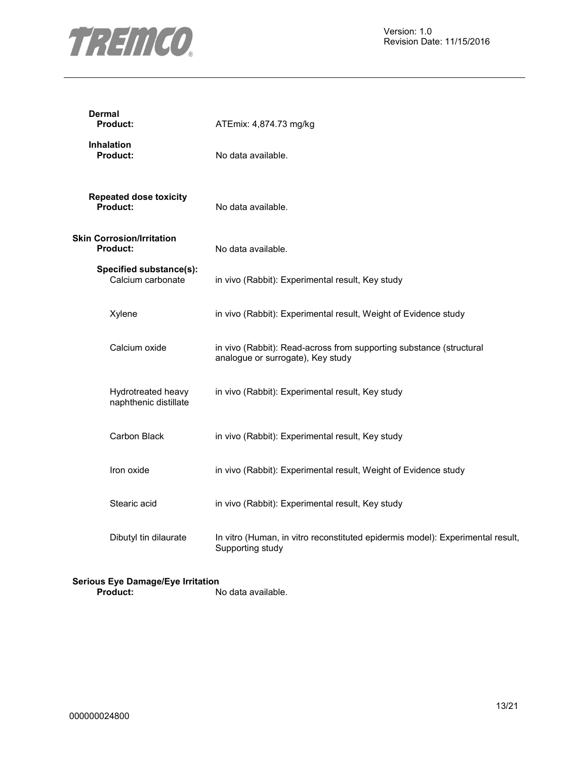

| Dermal<br><b>Product:</b>                           | ATEmix: 4,874.73 mg/kg                                                                                   |
|-----------------------------------------------------|----------------------------------------------------------------------------------------------------------|
| <b>Inhalation</b><br><b>Product:</b>                | No data available.                                                                                       |
| <b>Repeated dose toxicity</b><br>Product:           | No data available.                                                                                       |
| <b>Skin Corrosion/Irritation</b><br><b>Product:</b> | No data available.                                                                                       |
| Specified substance(s):<br>Calcium carbonate        | in vivo (Rabbit): Experimental result, Key study                                                         |
| Xylene                                              | in vivo (Rabbit): Experimental result, Weight of Evidence study                                          |
| Calcium oxide                                       | in vivo (Rabbit): Read-across from supporting substance (structural<br>analogue or surrogate), Key study |
| Hydrotreated heavy<br>naphthenic distillate         | in vivo (Rabbit): Experimental result, Key study                                                         |
| Carbon Black                                        | in vivo (Rabbit): Experimental result, Key study                                                         |
| Iron oxide                                          | in vivo (Rabbit): Experimental result, Weight of Evidence study                                          |
| Stearic acid                                        | in vivo (Rabbit): Experimental result, Key study                                                         |
| Dibutyl tin dilaurate                               | In vitro (Human, in vitro reconstituted epidermis model): Experimental result,<br>Supporting study       |

### **Serious Eye Damage/Eye Irritation Product:** No data available.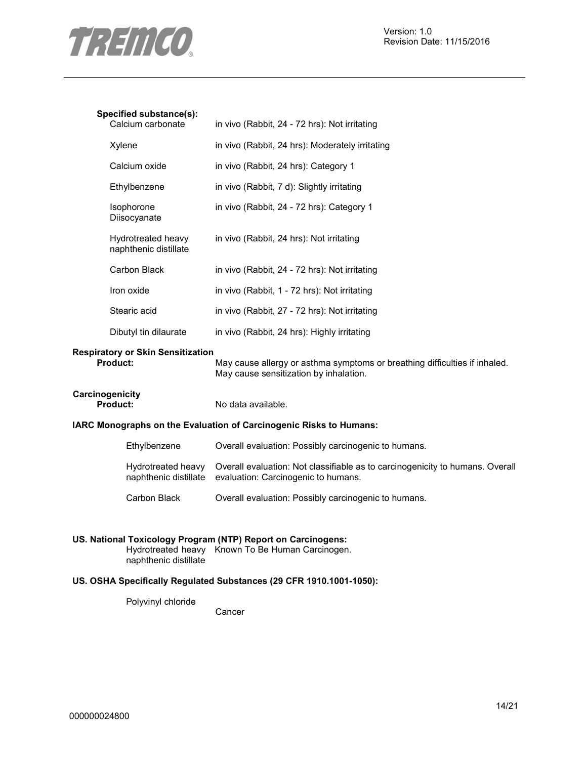

## **Specified substance(s):**

| pecilied substance(s).<br>Calcium carbonate | in vivo (Rabbit, 24 - 72 hrs): Not irritating   |
|---------------------------------------------|-------------------------------------------------|
| Xylene                                      | in vivo (Rabbit, 24 hrs): Moderately irritating |
| Calcium oxide                               | in vivo (Rabbit, 24 hrs): Category 1            |
| Ethylbenzene                                | in vivo (Rabbit, 7 d): Slightly irritating      |
| <b>Isophorone</b><br>Diisocyanate           | in vivo (Rabbit, 24 - 72 hrs): Category 1       |
| Hydrotreated heavy<br>naphthenic distillate | in vivo (Rabbit, 24 hrs): Not irritating        |
| Carbon Black                                | in vivo (Rabbit, 24 - 72 hrs): Not irritating   |
| Iron oxide                                  | in vivo (Rabbit, 1 - 72 hrs): Not irritating    |
| Stearic acid                                | in vivo (Rabbit, 27 - 72 hrs): Not irritating   |
| Dibutyl tin dilaurate                       | in vivo (Rabbit, 24 hrs): Highly irritating     |

## **Respiratory or Skin Sensitization**

May cause allergy or asthma symptoms or breathing difficulties if inhaled. May cause sensitization by inhalation.

| Carcinogenicity |  |
|-----------------|--|
| <b>Product:</b> |  |

No data available.

## **IARC Monographs on the Evaluation of Carcinogenic Risks to Humans:**

| Ethylbenzene                                | Overall evaluation: Possibly carcinogenic to humans.                                                                 |
|---------------------------------------------|----------------------------------------------------------------------------------------------------------------------|
| Hydrotreated heavy<br>naphthenic distillate | Overall evaluation: Not classifiable as to carcinogenicity to humans. Overall<br>evaluation: Carcinogenic to humans. |
| Carbon Black                                | Overall evaluation: Possibly carcinogenic to humans.                                                                 |

## **US. National Toxicology Program (NTP) Report on Carcinogens:**  Hydrotreated heavy Known To Be Human Carcinogen.

naphthenic distillate

## **US. OSHA Specifically Regulated Substances (29 CFR 1910.1001-1050):**

**Cancer** 

Polyvinyl chloride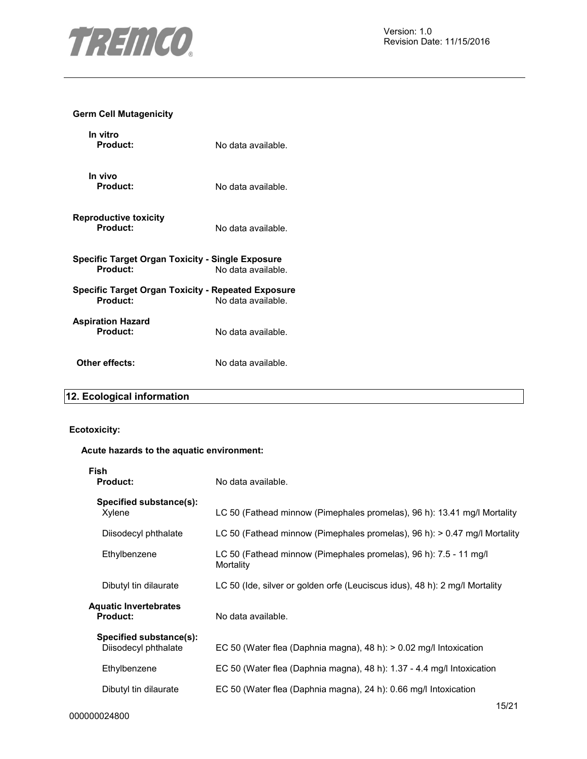

## **Germ Cell Mutagenicity**

| In vitro<br>Product:                                                | No data available. |
|---------------------------------------------------------------------|--------------------|
| In vivo<br>Product:                                                 | No data available. |
| <b>Reproductive toxicity</b><br>Product:                            | No data available. |
| <b>Specific Target Organ Toxicity - Single Exposure</b><br>Product: | No data available. |
| Specific Target Organ Toxicity - Repeated Exposure<br>Product:      | No data available. |
| <b>Aspiration Hazard</b><br>Product:                                | No data available. |
| Other effects:                                                      | No data available. |

## **12. Ecological information**

## **Ecotoxicity:**

## **Acute hazards to the aquatic environment:**

| Fish<br><b>Product:</b>                         | No data available.                                                             |
|-------------------------------------------------|--------------------------------------------------------------------------------|
| Specified substance(s):<br>Xylene               | LC 50 (Fathead minnow (Pimephales promelas), 96 h): 13.41 mg/l Mortality       |
| Diisodecyl phthalate                            | LC 50 (Fathead minnow (Pimephales promelas), 96 h): > 0.47 mg/l Mortality      |
| Ethylbenzene                                    | LC 50 (Fathead minnow (Pimephales promelas), 96 h): 7.5 - 11 mg/l<br>Mortality |
| Dibutyl tin dilaurate                           | LC 50 (Ide, silver or golden orfe (Leuciscus idus), 48 h): 2 mg/l Mortality    |
| Aquatic Invertebrates<br><b>Product:</b>        | No data available.                                                             |
| Specified substance(s):<br>Diisodecyl phthalate | EC 50 (Water flea (Daphnia magna), 48 h): > 0.02 mg/l Intoxication             |
| Ethylbenzene                                    | EC 50 (Water flea (Daphnia magna), 48 h): 1.37 - 4.4 mg/l Intoxication         |
| Dibutyl tin dilaurate                           | EC 50 (Water flea (Daphnia magna), 24 h): 0.66 mg/l Intoxication               |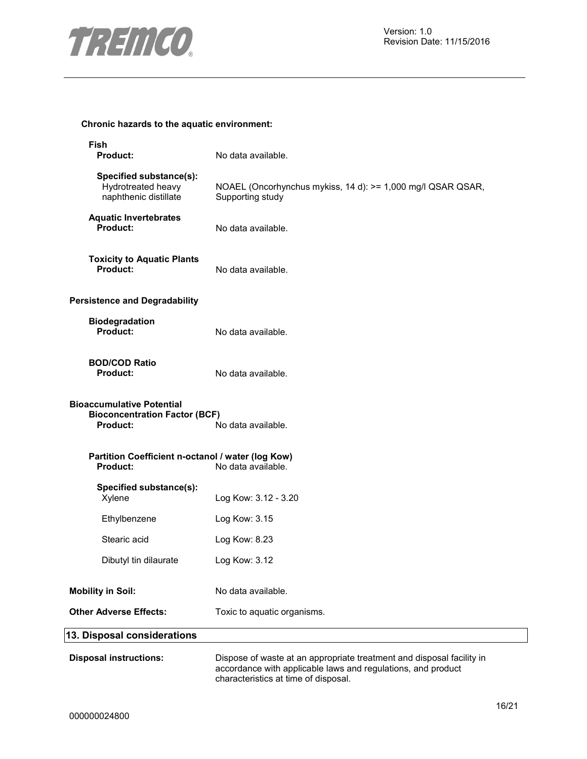

## **Chronic hazards to the aquatic environment:**

| Fish<br><b>Product:</b>                                                                     | No data available.                                                                                                                    |
|---------------------------------------------------------------------------------------------|---------------------------------------------------------------------------------------------------------------------------------------|
| Specified substance(s):<br>Hydrotreated heavy<br>naphthenic distillate                      | NOAEL (Oncorhynchus mykiss, 14 d): >= 1,000 mg/l QSAR QSAR,<br>Supporting study                                                       |
| <b>Aquatic Invertebrates</b><br>Product:                                                    | No data available.                                                                                                                    |
| <b>Toxicity to Aquatic Plants</b><br>Product:                                               | No data available.                                                                                                                    |
| <b>Persistence and Degradability</b>                                                        |                                                                                                                                       |
| <b>Biodegradation</b><br>Product:                                                           | No data available.                                                                                                                    |
| <b>BOD/COD Ratio</b><br><b>Product:</b>                                                     | No data available.                                                                                                                    |
| <b>Bioaccumulative Potential</b><br><b>Bioconcentration Factor (BCF)</b><br><b>Product:</b> | No data available.                                                                                                                    |
| Partition Coefficient n-octanol / water (log Kow)<br><b>Product:</b>                        | No data available.                                                                                                                    |
| Specified substance(s):<br>Xylene                                                           | Log Kow: 3.12 - 3.20                                                                                                                  |
| Ethylbenzene                                                                                | Log Kow: 3.15                                                                                                                         |
| Stearic acid                                                                                | Log Kow: 8.23                                                                                                                         |
| Dibutyl tin dilaurate                                                                       | Log Kow: 3.12                                                                                                                         |
| <b>Mobility in Soil:</b>                                                                    | No data available.                                                                                                                    |
| <b>Other Adverse Effects:</b>                                                               | Toxic to aquatic organisms.                                                                                                           |
| 13. Disposal considerations                                                                 |                                                                                                                                       |
| <b>Disposal instructions:</b>                                                               | Dispose of waste at an appropriate treatment and disposal facility in<br>accordance with applicable laws and regulations, and product |

characteristics at time of disposal.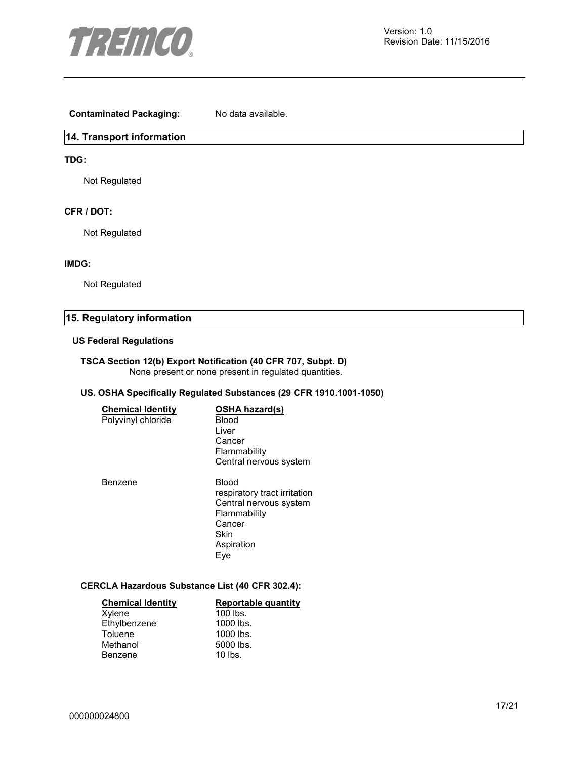

## **Contaminated Packaging:** No data available.

## **14. Transport information**

## **TDG:**

Not Regulated

## **CFR / DOT:**

Not Regulated

## **IMDG:**

Not Regulated

## **15. Regulatory information**

#### **US Federal Regulations**

## **TSCA Section 12(b) Export Notification (40 CFR 707, Subpt. D)**  None present or none present in regulated quantities.

## **US. OSHA Specifically Regulated Substances (29 CFR 1910.1001-1050)**

| <b>Chemical Identity</b><br>Polyvinyl chloride | OSHA hazard(s)<br>Blood<br>Liver<br>Cancer<br>Flammability<br>Central nervous system                                   |
|------------------------------------------------|------------------------------------------------------------------------------------------------------------------------|
| <b>Benzene</b>                                 | Blood<br>respiratory tract irritation<br>Central nervous system<br>Flammability<br>Cancer<br>Skin<br>Aspiration<br>Eve |

## **CERCLA Hazardous Substance List (40 CFR 302.4):**

| <b>Chemical Identity</b> | <b>Reportable quantity</b> |
|--------------------------|----------------------------|
| Xylene                   | $100$ lbs.                 |
| Ethylbenzene             | 1000 lbs.                  |
| Toluene                  | 1000 lbs.                  |
| Methanol                 | 5000 lbs.                  |
| Benzene                  | $10$ lbs.                  |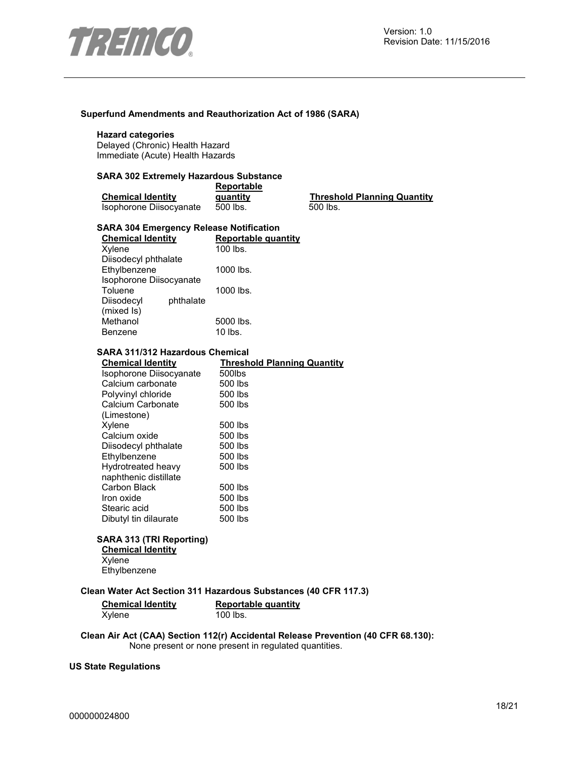

## **Superfund Amendments and Reauthorization Act of 1986 (SARA)**

## **Hazard categories**

Delayed (Chronic) Health Hazard Immediate (Acute) Health Hazards

## **SARA 302 Extremely Hazardous Substance**

|                          | <b>Reportable</b> |                                    |  |
|--------------------------|-------------------|------------------------------------|--|
| <b>Chemical Identity</b> | quantity          | <b>Threshold Planning Quantity</b> |  |
| Isophorone Diisocyanate  | 500 lbs.          | 500 lbs.                           |  |

#### **SARA 304 Emergency Release Notification**

| <b>Chemical Identity</b> |           | Reportable quantity |
|--------------------------|-----------|---------------------|
| Xylene                   |           | $100$ lbs.          |
| Diisodecyl phthalate     |           |                     |
| Ethylbenzene             |           | 1000 lbs.           |
| Isophorone Diisocyanate  |           |                     |
| Toluene                  |           | 1000 lbs.           |
| Diisodecyl               | phthalate |                     |
| (mixed Is)               |           |                     |
| Methanol                 |           | 5000 lbs.           |
| Benzene                  |           | 10 lbs.             |

#### **SARA 311/312 Hazardous Chemical**

| <b>Chemical Identity</b> | <b>Threshold Planning Quantity</b> |
|--------------------------|------------------------------------|
| Isophorone Diisocyanate  | 500lbs                             |
| Calcium carbonate        | 500 lbs                            |
| Polyvinyl chloride       | 500 lbs                            |
| Calcium Carbonate        | 500 lbs                            |
| (Limestone)              |                                    |
| Xylene                   | 500 lbs                            |
| Calcium oxide            | 500 lbs                            |
| Diisodecyl phthalate     | 500 lbs                            |
| Ethylbenzene             | 500 lbs                            |
| Hydrotreated heavy       | 500 lbs                            |
| naphthenic distillate    |                                    |
| Carbon Black             | 500 lbs                            |
| Iron oxide               | 500 lbs                            |
| Stearic acid             | 500 lbs                            |
| Dibutyl tin dilaurate    | 500 lbs                            |
|                          |                                    |

## **SARA 313 (TRI Reporting)**

**Chemical Identity Xylene Ethylbenzene** 

#### **Clean Water Act Section 311 Hazardous Substances (40 CFR 117.3)**

| <b>Chemical Identity</b> | Reportable quantity |
|--------------------------|---------------------|
| Xylene                   | 100 lbs.            |

## **Clean Air Act (CAA) Section 112(r) Accidental Release Prevention (40 CFR 68.130):**  None present or none present in regulated quantities.

#### **US State Regulations**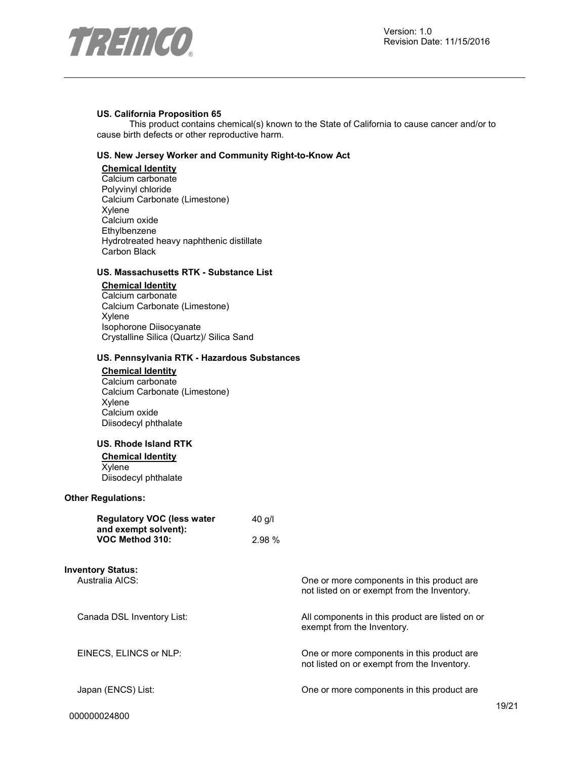



#### **US. California Proposition 65**

This product contains chemical(s) known to the State of California to cause cancer and/or to cause birth defects or other reproductive harm.

## **US. New Jersey Worker and Community Right-to-Know Act**

**Chemical Identity** Calcium carbonate Polyvinyl chloride Calcium Carbonate (Limestone) Xylene Calcium oxide Ethylbenzene Hydrotreated heavy naphthenic distillate Carbon Black

## **US. Massachusetts RTK - Substance List**

**Chemical Identity**

Calcium carbonate Calcium Carbonate (Limestone) Xylene Isophorone Diisocyanate Crystalline Silica (Quartz)/ Silica Sand

#### **US. Pennsylvania RTK - Hazardous Substances**

#### **Chemical Identity**

Calcium carbonate Calcium Carbonate (Limestone) Xylene Calcium oxide Diisodecyl phthalate

#### **US. Rhode Island RTK**

**Chemical Identity** Xylene Diisodecyl phthalate

#### **Other Regulations:**

| <b>Regulatory VOC (less water</b> | $40$ g/l |
|-----------------------------------|----------|
| and exempt solvent):              |          |
| VOC Method 310:                   | 2.98%    |

**Inventory Status:**

Australia AICS: One or more components in this product are

Canada DSL Inventory List: All components in this product are listed on or

EINECS, ELINCS or NLP: One or more components in this product are

Japan (ENCS) List: One or more components in this product are

not listed on or exempt from the Inventory.

not listed on or exempt from the Inventory.

exempt from the Inventory.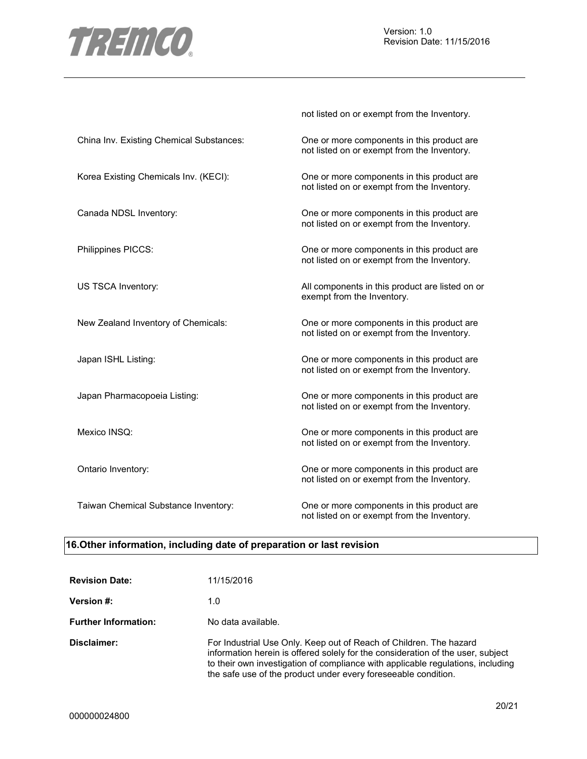

|                                          | not listed on or exempt from the Inventory.                                               |
|------------------------------------------|-------------------------------------------------------------------------------------------|
| China Inv. Existing Chemical Substances: | One or more components in this product are<br>not listed on or exempt from the Inventory. |
| Korea Existing Chemicals Inv. (KECI):    | One or more components in this product are<br>not listed on or exempt from the Inventory. |
| Canada NDSL Inventory:                   | One or more components in this product are<br>not listed on or exempt from the Inventory. |
| Philippines PICCS:                       | One or more components in this product are<br>not listed on or exempt from the Inventory. |
| US TSCA Inventory:                       | All components in this product are listed on or<br>exempt from the Inventory.             |
| New Zealand Inventory of Chemicals:      | One or more components in this product are<br>not listed on or exempt from the Inventory. |
| Japan ISHL Listing:                      | One or more components in this product are<br>not listed on or exempt from the Inventory. |
| Japan Pharmacopoeia Listing:             | One or more components in this product are<br>not listed on or exempt from the Inventory. |
| Mexico INSQ:                             | One or more components in this product are<br>not listed on or exempt from the Inventory. |
| Ontario Inventory:                       | One or more components in this product are<br>not listed on or exempt from the Inventory. |
| Taiwan Chemical Substance Inventory:     | One or more components in this product are<br>not listed on or exempt from the Inventory. |

## **16.Other information, including date of preparation or last revision**

| <b>Revision Date:</b>       | 11/15/2016                                                                                                                                                                                                                                                                                                  |
|-----------------------------|-------------------------------------------------------------------------------------------------------------------------------------------------------------------------------------------------------------------------------------------------------------------------------------------------------------|
| <b>Version #:</b>           | 1.0                                                                                                                                                                                                                                                                                                         |
| <b>Further Information:</b> | No data available.                                                                                                                                                                                                                                                                                          |
| Disclaimer:                 | For Industrial Use Only. Keep out of Reach of Children. The hazard<br>information herein is offered solely for the consideration of the user, subject<br>to their own investigation of compliance with applicable regulations, including<br>the safe use of the product under every fore seeable condition. |